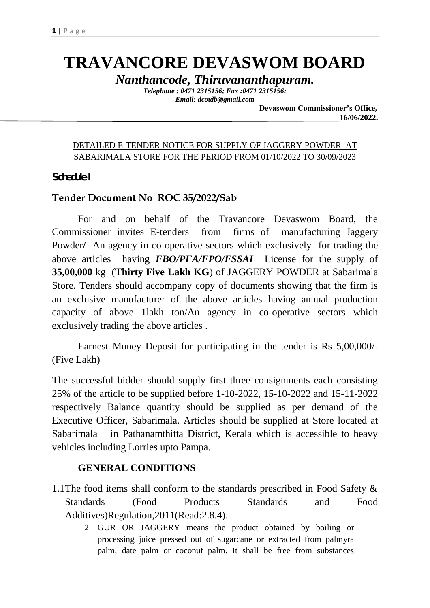# **TRAVANCORE DEVASWOM BOARD**

*Nanthancode, Thiruvananthapuram.*

*Telephone : 0471 2315156; Fax :0471 2315156; Email: dcotdb@gmail.com*

 **Devaswom Commissioner's Office, 16/06/2022.**

### DETAILED E-TENDER NOTICE FOR SUPPLY OF JAGGERY POWDER AT SABARIMALA STORE FOR THE PERIOD FROM 01/10/2022 TO 30/09/2023

**Schedule I** 

### **Tender Document No ROC 35/2022/Sab**

For and on behalf of the Travancore Devaswom Board, the Commissioner invites E-tenders from firms of manufacturing Jaggery Powder**/** An agency in co-operative sectors which exclusively for trading the above articles having *FBO/PFA/FPO/FSSAI* License for the supply of **35,00,000** kg (**Thirty Five Lakh KG**) of JAGGERY POWDER at Sabarimala Store. Tenders should accompany copy of documents showing that the firm is an exclusive manufacturer of the above articles having annual production capacity of above 1lakh ton/An agency in co-operative sectors which exclusively trading the above articles .

Earnest Money Deposit for participating in the tender is Rs 5,00,000/- (Five Lakh)

The successful bidder should supply first three consignments each consisting 25% of the article to be supplied before 1-10-2022, 15-10-2022 and 15-11-2022 respectively Balance quantity should be supplied as per demand of the Executive Officer, Sabarimala. Articles should be supplied at Store located at Sabarimala in Pathanamthitta District, Kerala which is accessible to heavy vehicles including Lorries upto Pampa.

### **GENERAL CONDITIONS**

- 1.1The food items shall conform to the standards prescribed in Food Safety & Standards (Food Products Standards and Food Additives)Regulation,2011(Read:2.8.4).
	- 2 GUR OR JAGGERY means the product obtained by boiling or processing juice pressed out of sugarcane or extracted from palmyra palm, date palm or coconut palm. It shall be free from substances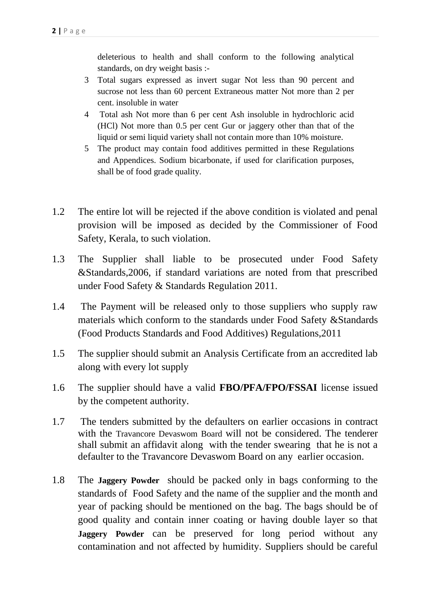deleterious to health and shall conform to the following analytical standards, on dry weight basis :-

- 3 Total sugars expressed as invert sugar Not less than 90 percent and sucrose not less than 60 percent Extraneous matter Not more than 2 per cent. insoluble in water
- 4 Total ash Not more than 6 per cent Ash insoluble in hydrochloric acid (HCl) Not more than 0.5 per cent Gur or jaggery other than that of the liquid or semi liquid variety shall not contain more than 10% moisture.
- 5 The product may contain food additives permitted in these Regulations and Appendices. Sodium bicarbonate, if used for clarification purposes, shall be of food grade quality.
- 1.2 The entire lot will be rejected if the above condition is violated and penal provision will be imposed as decided by the Commissioner of Food Safety, Kerala, to such violation.
- 1.3 The Supplier shall liable to be prosecuted under Food Safety &Standards,2006, if standard variations are noted from that prescribed under Food Safety & Standards Regulation 2011.
- 1.4 The Payment will be released only to those suppliers who supply raw materials which conform to the standards under Food Safety &Standards (Food Products Standards and Food Additives) Regulations,2011
- 1.5 The supplier should submit an Analysis Certificate from an accredited lab along with every lot supply
- 1.6 The supplier should have a valid **FBO/PFA/FPO/FSSAI** license issued by the competent authority.
- 1.7 The tenders submitted by the defaulters on earlier occasions in contract with the Travancore Devaswom Board will not be considered. The tenderer shall submit an affidavit along with the tender swearing that he is not a defaulter to the Travancore Devaswom Board on any earlier occasion.
- 1.8 The **Jaggery Powder** should be packed only in bags conforming to the standards of Food Safety and the name of the supplier and the month and year of packing should be mentioned on the bag. The bags should be of good quality and contain inner coating or having double layer so that **Jaggery Powder** can be preserved for long period without any contamination and not affected by humidity. Suppliers should be careful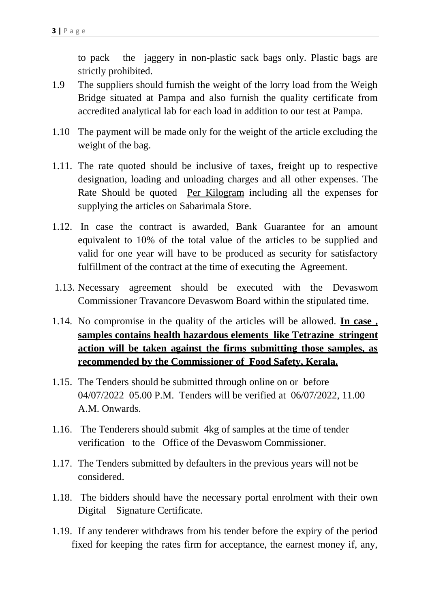to pack the jaggery in non-plastic sack bags only. Plastic bags are strictly prohibited.

- 1.9 The suppliers should furnish the weight of the lorry load from the Weigh Bridge situated at Pampa and also furnish the quality certificate from accredited analytical lab for each load in addition to our test at Pampa.
- 1.10 The payment will be made only for the weight of the article excluding the weight of the bag.
- 1.11. The rate quoted should be inclusive of taxes, freight up to respective designation, loading and unloading charges and all other expenses. The Rate Should be quoted Per Kilogram including all the expenses for supplying the articles on Sabarimala Store.
- 1.12. In case the contract is awarded, Bank Guarantee for an amount equivalent to 10% of the total value of the articles to be supplied and valid for one year will have to be produced as security for satisfactory fulfillment of the contract at the time of executing the Agreement.
- 1.13. Necessary agreement should be executed with the Devaswom Commissioner Travancore Devaswom Board within the stipulated time.
- 1.14. No compromise in the quality of the articles will be allowed. **In case , samples contains health hazardous elements like Tetrazine stringent action will be taken against the firms submitting those samples, as recommended by the Commissioner of Food Safety, Kerala.**
- 1.15. The Tenders should be submitted through online on or before 04/07/2022 05.00 P.M. Tenders will be verified at 06/07/2022, 11.00 A.M. Onwards.
- 1.16. The Tenderers should submit 4kg of samples at the time of tender verification to the Office of the Devaswom Commissioner.
- 1.17. The Tenders submitted by defaulters in the previous years will not be considered.
- 1.18. The bidders should have the necessary portal enrolment with their own Digital Signature Certificate.
- 1.19. If any tenderer withdraws from his tender before the expiry of the period fixed for keeping the rates firm for acceptance, the earnest money if, any,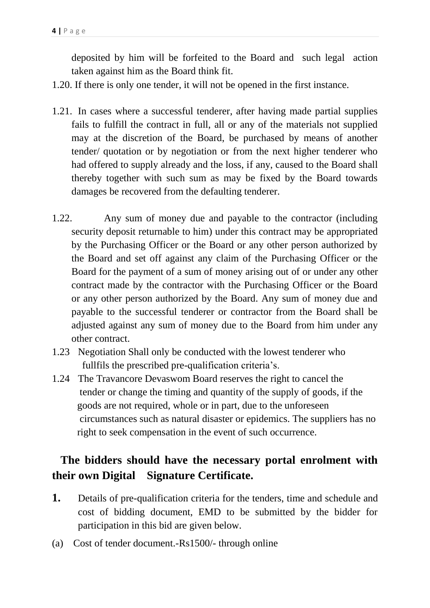deposited by him will be forfeited to the Board and such legal action taken against him as the Board think fit.

- 1.20. If there is only one tender, it will not be opened in the first instance.
- 1.21. In cases where a successful tenderer, after having made partial supplies fails to fulfill the contract in full, all or any of the materials not supplied may at the discretion of the Board, be purchased by means of another tender/ quotation or by negotiation or from the next higher tenderer who had offered to supply already and the loss, if any, caused to the Board shall thereby together with such sum as may be fixed by the Board towards damages be recovered from the defaulting tenderer.
- 1.22. Any sum of money due and payable to the contractor (including security deposit returnable to him) under this contract may be appropriated by the Purchasing Officer or the Board or any other person authorized by the Board and set off against any claim of the Purchasing Officer or the Board for the payment of a sum of money arising out of or under any other contract made by the contractor with the Purchasing Officer or the Board or any other person authorized by the Board. Any sum of money due and payable to the successful tenderer or contractor from the Board shall be adjusted against any sum of money due to the Board from him under any other contract.
- 1.23 Negotiation Shall only be conducted with the lowest tenderer who fullfils the prescribed pre-qualification criteria's.
- 1.24 The Travancore Devaswom Board reserves the right to cancel the tender or change the timing and quantity of the supply of goods, if the goods are not required, whole or in part, due to the unforeseen circumstances such as natural disaster or epidemics. The suppliers has no right to seek compensation in the event of such occurrence.

## **The bidders should have the necessary portal enrolment with their own Digital Signature Certificate.**

- **1.** Details of pre-qualification criteria for the tenders, time and schedule and cost of bidding document, EMD to be submitted by the bidder for participation in this bid are given below.
- (a) Cost of tender document.-Rs1500/- through online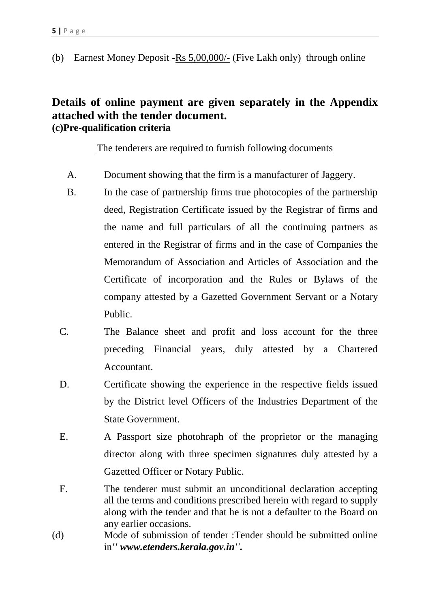(b) Earnest Money Deposit -Rs 5,00,000/- (Five Lakh only) through online

### **Details of online payment are given separately in the Appendix attached with the tender document. (c)Pre-qualification criteria**

The tenderers are required to furnish following documents

- A. Document showing that the firm is a manufacturer of Jaggery.
- B. In the case of partnership firms true photocopies of the partnership deed, Registration Certificate issued by the Registrar of firms and the name and full particulars of all the continuing partners as entered in the Registrar of firms and in the case of Companies the Memorandum of Association and Articles of Association and the Certificate of incorporation and the Rules or Bylaws of the company attested by a Gazetted Government Servant or a Notary Public.
- C. The Balance sheet and profit and loss account for the three preceding Financial years, duly attested by a Chartered Accountant.
- D. Certificate showing the experience in the respective fields issued by the District level Officers of the Industries Department of the State Government.
- E. A Passport size photohraph of the proprietor or the managing director along with three specimen signatures duly attested by a Gazetted Officer or Notary Public.
- F. The tenderer must submit an unconditional declaration accepting all the terms and conditions prescribed herein with regard to supply along with the tender and that he is not a defaulter to the Board on any earlier occasions.
- (d) Mode of submission of tender :Tender should be submitted online in*'' www.etenders.kerala.gov.in''.*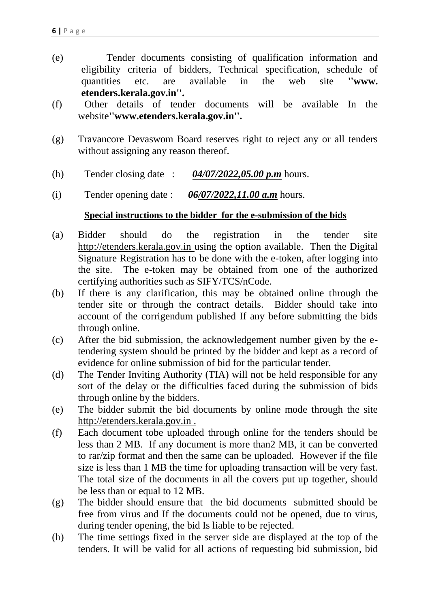- (e) Tender documents consisting of qualification information and eligibility criteria of bidders, Technical specification, schedule of quantities etc. are available in the web site **''www. etenders.kerala.gov.in''.**
- (f) Other details of tender documents will be available In the website**''www.etenders.kerala.gov.in''.**
- (g) Travancore Devaswom Board reserves right to reject any or all tenders without assigning any reason thereof.
- (h) Tender closing date : *04/07/2022,05.00 p.m* hours.
- (i) Tender opening date : *06/07/2022,11.00 a.m* hours.

### **Special instructions to the bidder for the e-submission of the bids**

- (a) Bidder should do the registration in the tender site http://etenders.kerala.gov.in using the option available. Then the Digital Signature Registration has to be done with the e-token, after logging into the site. The e-token may be obtained from one of the authorized certifying authorities such as SIFY/TCS/nCode.
- (b) If there is any clarification, this may be obtained online through the tender site or through the contract details. Bidder should take into account of the corrigendum published If any before submitting the bids through online.
- (c) After the bid submission, the acknowledgement number given by the etendering system should be printed by the bidder and kept as a record of evidence for online submission of bid for the particular tender.
- (d) The Tender Inviting Authority (TIA) will not be held responsible for any sort of the delay or the difficulties faced during the submission of bids through online by the bidders.
- (e) The bidder submit the bid documents by online mode through the site http://etenders.kerala.gov.in .
- (f) Each document tobe uploaded through online for the tenders should be less than 2 MB. If any document is more than2 MB, it can be converted to rar/zip format and then the same can be uploaded. However if the file size is less than 1 MB the time for uploading transaction will be very fast. The total size of the documents in all the covers put up together, should be less than or equal to 12 MB.
- (g) The bidder should ensure that the bid documents submitted should be free from virus and If the documents could not be opened, due to virus, during tender opening, the bid Is liable to be rejected.
- (h) The time settings fixed in the server side are displayed at the top of the tenders. It will be valid for all actions of requesting bid submission, bid